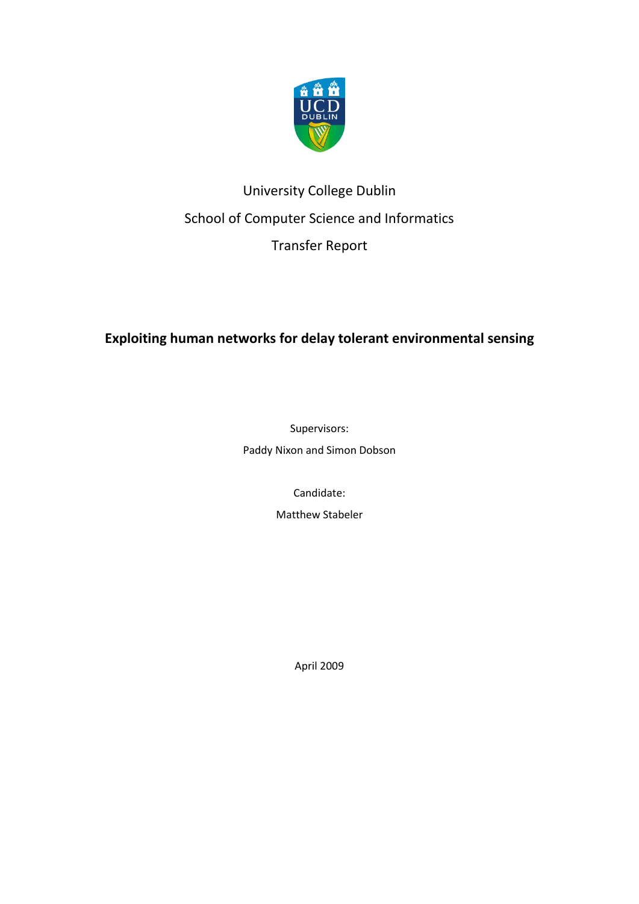

# University College Dublin School of Computer Science and Informatics Transfer Report

# **Exploiting human networks [for delay tolerant environmental sensing](#page-4-0)**

Supervisors:

Paddy Nixon and Simon Dobson

Candidate:

Matthew Stabeler

April 2009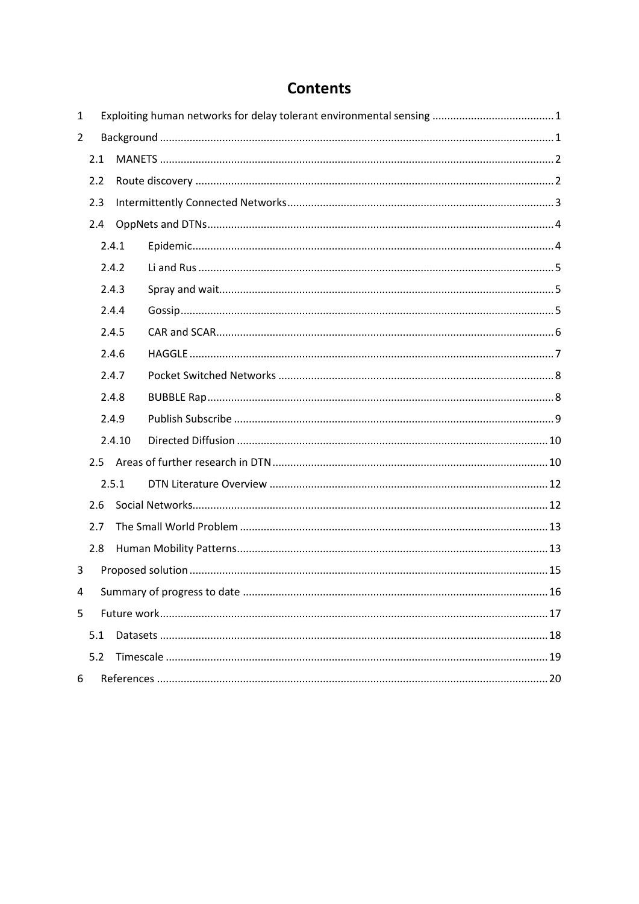# **Contents**

| $\mathbf{1}$   |       |        |  |
|----------------|-------|--------|--|
| $\overline{2}$ |       |        |  |
|                | 2.1   |        |  |
|                | 2.2   |        |  |
|                | 2.3   |        |  |
|                | 2.4   |        |  |
|                |       | 2.4.1  |  |
|                |       | 2.4.2  |  |
|                |       | 2.4.3  |  |
|                |       | 2.4.4  |  |
|                |       | 2.4.5  |  |
|                |       | 2.4.6  |  |
| 2.4.7<br>2.4.8 |       |        |  |
|                |       |        |  |
|                | 2.4.9 |        |  |
|                |       | 2.4.10 |  |
|                |       |        |  |
|                |       | 2.5.1  |  |
|                | 2.6   |        |  |
|                | 2.7   |        |  |
|                | 2.8   |        |  |
| 3              |       |        |  |
| $\overline{4}$ |       |        |  |
| 5              |       |        |  |
|                | 5.1   |        |  |
|                | 5.2   |        |  |
| 6              |       |        |  |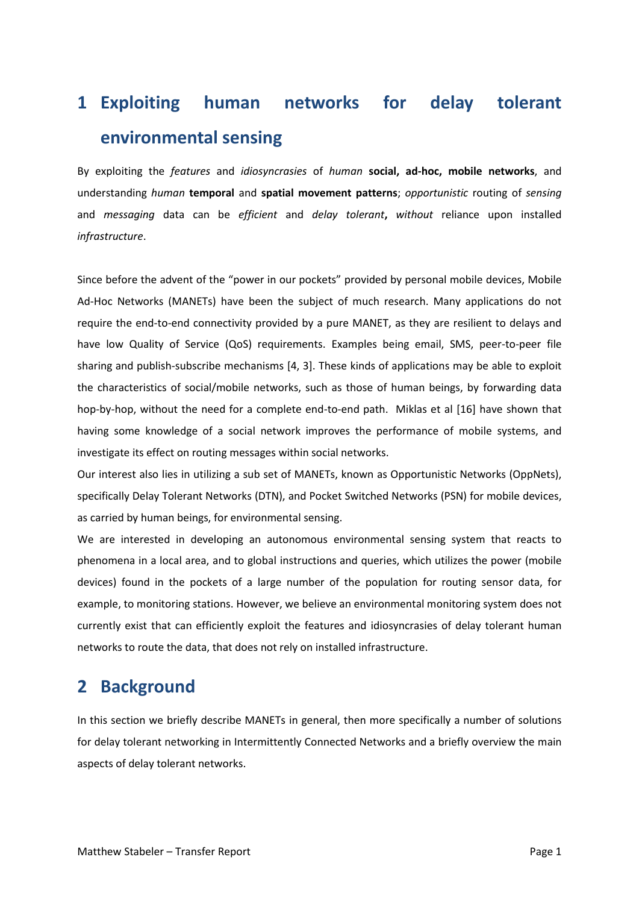# <span id="page-4-0"></span>**1 Exploiting human networks for delay tolerant environmental sensing**

By exploiting the *features* and *idiosyncrasies* of *human* **social, ad-hoc, mobile networks**, and understanding *human* **temporal** and **spatial movement patterns**; *opportunistic* routing of *sensing*  and *messaging* data can be *efficient* and *delay tolerant***,** *without* reliance upon installed *infrastructure*.

Since before the advent of the "power in our pockets" provided by personal mobile devices, Mobile Ad-Hoc Networks (MANETs) have been the subject of much research. Many applications do not require the end-to-end connectivity provided by a pure MANET, as they are resilient to delays and have low Quality of Service (QoS) requirements. Examples being email, SMS, peer-to-peer file sharing and publish-subscribe mechanisms [4, 3]. These kinds of applications may be able to exploit the characteristics of social/mobile networks, such as those of human beings, by forwarding data hop-by-hop, without the need for a complete end-to-end path. Miklas et al [16] have shown that having some knowledge of a social network improves the performance of mobile systems, and investigate its effect on routing messages within social networks.

Our interest also lies in utilizing a sub set of MANETs, known as Opportunistic Networks (OppNets), specifically Delay Tolerant Networks (DTN), and Pocket Switched Networks (PSN) for mobile devices, as carried by human beings, for environmental sensing.

We are interested in developing an autonomous environmental sensing system that reacts to phenomena in a local area, and to global instructions and queries, which utilizes the power (mobile devices) found in the pockets of a large number of the population for routing sensor data, for example, to monitoring stations. However, we believe an environmental monitoring system does not currently exist that can efficiently exploit the features and idiosyncrasies of delay tolerant human networks to route the data, that does not rely on installed infrastructure.

# <span id="page-4-1"></span>**2 Background**

In this section we briefly describe MANETs in general, then more specifically a number of solutions for delay tolerant networking in Intermittently Connected Networks and a briefly overview the main aspects of delay tolerant networks.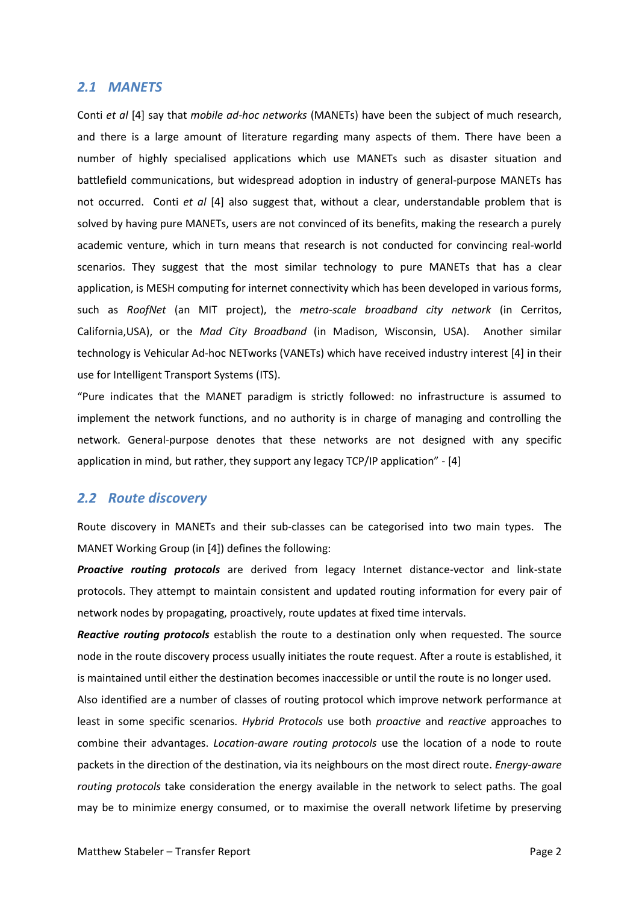#### <span id="page-5-0"></span>*2.1 MANETS*

Conti *et al* [4] say that *mobile ad-hoc networks* (MANETs) have been the subject of much research, and there is a large amount of literature regarding many aspects of them. There have been a number of highly specialised applications which use MANETs such as disaster situation and battlefield communications, but widespread adoption in industry of general-purpose MANETs has not occurred. Conti *et al* [4] also suggest that, without a clear, understandable problem that is solved by having pure MANETs, users are not convinced of its benefits, making the research a purely academic venture, which in turn means that research is not conducted for convincing real-world scenarios. They suggest that the most similar technology to pure MANETs that has a clear application, is MESH computing for internet connectivity which has been developed in various forms, such as *RoofNet* (an MIT project), the *metro-scale broadband city network* (in Cerritos, California,USA), or the *Mad City Broadband* (in Madison, Wisconsin, USA). Another similar technology is Vehicular Ad-hoc NETworks (VANETs) which have received industry interest [4] in their use for Intelligent Transport Systems (ITS).

"Pure indicates that the MANET paradigm is strictly followed: no infrastructure is assumed to implement the network functions, and no authority is in charge of managing and controlling the network. General-purpose denotes that these networks are not designed with any specific application in mind, but rather, they support any legacy TCP/IP application" - [4]

### <span id="page-5-1"></span>*2.2 Route discovery*

Route discovery in MANETs and their sub-classes can be categorised into two main types. The MANET Working Group (in [4]) defines the following:

*Proactive routing protocols* are derived from legacy Internet distance-vector and link-state protocols. They attempt to maintain consistent and updated routing information for every pair of network nodes by propagating, proactively, route updates at fixed time intervals.

*Reactive routing protocols* establish the route to a destination only when requested. The source node in the route discovery process usually initiates the route request. After a route is established, it is maintained until either the destination becomes inaccessible or until the route is no longer used.

Also identified are a number of classes of routing protocol which improve network performance at least in some specific scenarios. *Hybrid Protocols* use both *proactive* and *reactive* approaches to combine their advantages. *Location-aware routing protocols* use the location of a node to route packets in the direction of the destination, via its neighbours on the most direct route. *Energy-aware routing protocols* take consideration the energy available in the network to select paths. The goal may be to minimize energy consumed, or to maximise the overall network lifetime by preserving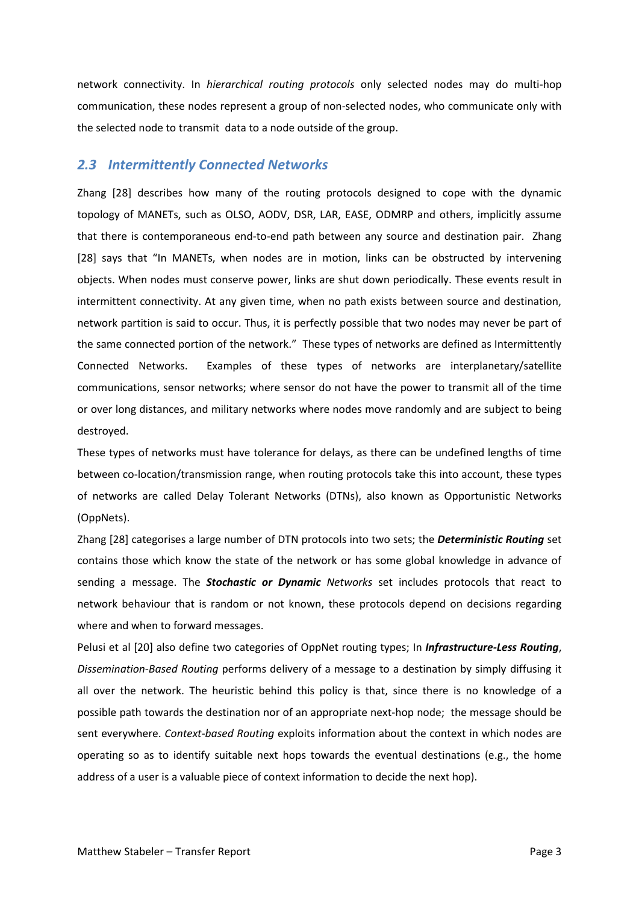network connectivity. In *hierarchical routing protocols* only selected nodes may do multi-hop communication, these nodes represent a group of non-selected nodes, who communicate only with the selected node to transmit data to a node outside of the group.

### <span id="page-6-0"></span>*2.3 Intermittently Connected Networks*

Zhang [28] describes how many of the routing protocols designed to cope with the dynamic topology of MANETs, such as OLSO, AODV, DSR, LAR, EASE, ODMRP and others, implicitly assume that there is contemporaneous end-to-end path between any source and destination pair. Zhang [28] says that "In MANETs, when nodes are in motion, links can be obstructed by intervening objects. When nodes must conserve power, links are shut down periodically. These events result in intermittent connectivity. At any given time, when no path exists between source and destination, network partition is said to occur. Thus, it is perfectly possible that two nodes may never be part of the same connected portion of the network." These types of networks are defined as Intermittently Connected Networks. Examples of these types of networks are interplanetary/satellite communications, sensor networks; where sensor do not have the power to transmit all of the time or over long distances, and military networks where nodes move randomly and are subject to being destroyed.

These types of networks must have tolerance for delays, as there can be undefined lengths of time between co-location/transmission range, when routing protocols take this into account, these types of networks are called Delay Tolerant Networks (DTNs), also known as Opportunistic Networks (OppNets).

Zhang [28] categorises a large number of DTN protocols into two sets; the *Deterministic Routing* set contains those which know the state of the network or has some global knowledge in advance of sending a message. The *Stochastic or Dynamic Networks* set includes protocols that react to network behaviour that is random or not known, these protocols depend on decisions regarding where and when to forward messages.

Pelusi et al [20] also define two categories of OppNet routing types; In *Infrastructure-Less Routing*, *Dissemination-Based Routing* performs delivery of a message to a destination by simply diffusing it all over the network. The heuristic behind this policy is that, since there is no knowledge of a possible path towards the destination nor of an appropriate next-hop node; the message should be sent everywhere. *Context-based Routing* exploits information about the context in which nodes are operating so as to identify suitable next hops towards the eventual destinations (e.g., the home address of a user is a valuable piece of context information to decide the next hop).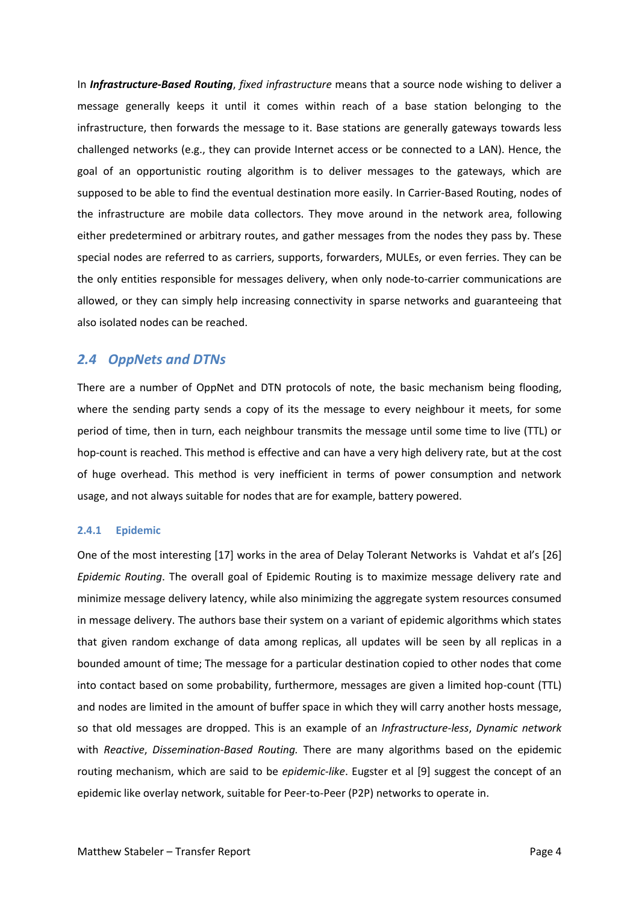In *Infrastructure-Based Routing*, *fixed infrastructure* means that a source node wishing to deliver a message generally keeps it until it comes within reach of a base station belonging to the infrastructure, then forwards the message to it. Base stations are generally gateways towards less challenged networks (e.g., they can provide Internet access or be connected to a LAN). Hence, the goal of an opportunistic routing algorithm is to deliver messages to the gateways, which are supposed to be able to find the eventual destination more easily. In Carrier-Based Routing, nodes of the infrastructure are mobile data collectors. They move around in the network area, following either predetermined or arbitrary routes, and gather messages from the nodes they pass by. These special nodes are referred to as carriers, supports, forwarders, MULEs, or even ferries. They can be the only entities responsible for messages delivery, when only node-to-carrier communications are allowed, or they can simply help increasing connectivity in sparse networks and guaranteeing that also isolated nodes can be reached.

### <span id="page-7-0"></span>*2.4 OppNets and DTNs*

There are a number of OppNet and DTN protocols of note, the basic mechanism being flooding, where the sending party sends a copy of its the message to every neighbour it meets, for some period of time, then in turn, each neighbour transmits the message until some time to live (TTL) or hop-count is reached. This method is effective and can have a very high delivery rate, but at the cost of huge overhead. This method is very inefficient in terms of power consumption and network usage, and not always suitable for nodes that are for example, battery powered.

#### <span id="page-7-1"></span>**2.4.1 Epidemic**

One of the most interesting [17] works in the area of Delay Tolerant Networks is Vahdat et al's [26] *Epidemic Routing*. The overall goal of Epidemic Routing is to maximize message delivery rate and minimize message delivery latency, while also minimizing the aggregate system resources consumed in message delivery. The authors base their system on a variant of epidemic algorithms which states that given random exchange of data among replicas, all updates will be seen by all replicas in a bounded amount of time; The message for a particular destination copied to other nodes that come into contact based on some probability, furthermore, messages are given a limited hop-count (TTL) and nodes are limited in the amount of buffer space in which they will carry another hosts message, so that old messages are dropped. This is an example of an *Infrastructure-less*, *Dynamic network* with *Reactive*, *Dissemination-Based Routing.* There are many algorithms based on the epidemic routing mechanism, which are said to be *epidemic-like*. Eugster et al [9] suggest the concept of an epidemic like overlay network, suitable for Peer-to-Peer (P2P) networks to operate in.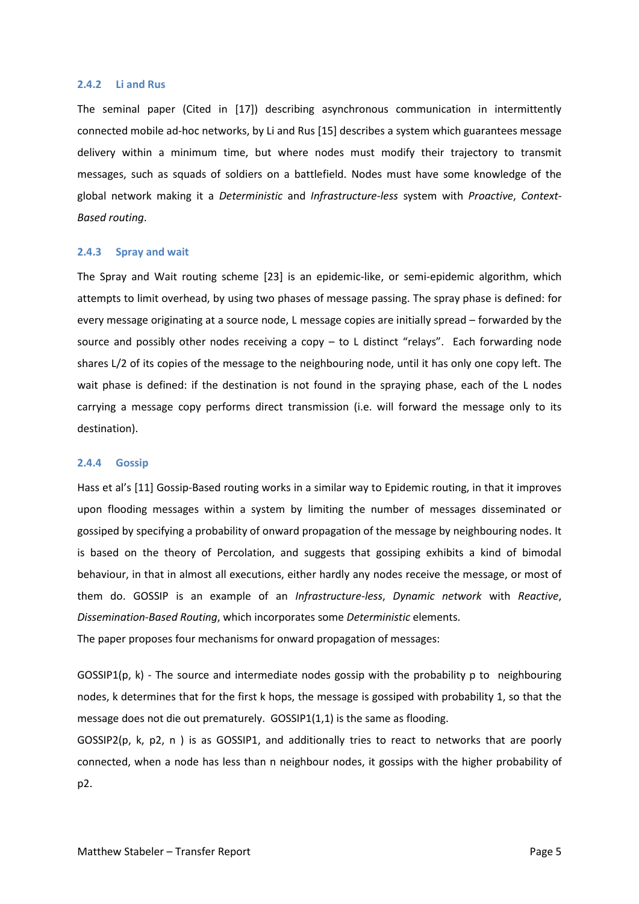#### <span id="page-8-0"></span>**2.4.2 Li and Rus**

The seminal paper (Cited in [17]) describing asynchronous communication in intermittently connected mobile ad-hoc networks, by Li and Rus [15] describes a system which guarantees message delivery within a minimum time, but where nodes must modify their trajectory to transmit messages, such as squads of soldiers on a battlefield. Nodes must have some knowledge of the global network making it a *Deterministic* and *Infrastructure-less* system with *Proactive*, *Context-Based routing*.

#### <span id="page-8-1"></span>**2.4.3 Spray and wait**

The Spray and Wait routing scheme [23] is an epidemic-like, or semi-epidemic algorithm, which attempts to limit overhead, by using two phases of message passing. The spray phase is defined: for every message originating at a source node, L message copies are initially spread – forwarded by the source and possibly other nodes receiving a copy – to L distinct "relays". Each forwarding node shares L/2 of its copies of the message to the neighbouring node, until it has only one copy left. The wait phase is defined: if the destination is not found in the spraying phase, each of the L nodes carrying a message copy performs direct transmission (i.e. will forward the message only to its destination).

#### <span id="page-8-2"></span>**2.4.4 Gossip**

Hass et al's [11] Gossip-Based routing works in a similar way to Epidemic routing, in that it improves upon flooding messages within a system by limiting the number of messages disseminated or gossiped by specifying a probability of onward propagation of the message by neighbouring nodes. It is based on the theory of Percolation, and suggests that gossiping exhibits a kind of bimodal behaviour, in that in almost all executions, either hardly any nodes receive the message, or most of them do. GOSSIP is an example of an *Infrastructure-less*, *Dynamic network* with *Reactive*, *Dissemination-Based Routing*, which incorporates some *Deterministic* elements. The paper proposes four mechanisms for onward propagation of messages:

GOSSIP1(p, k) - The source and intermediate nodes gossip with the probability p to neighbouring nodes, k determines that for the first k hops, the message is gossiped with probability 1, so that the message does not die out prematurely. GOSSIP1(1,1) is the same as flooding.

 $GOSIP2(p, k, p2, n)$  is as  $GOSIPI$ , and additionally tries to react to networks that are poorly connected, when a node has less than n neighbour nodes, it gossips with the higher probability of p2.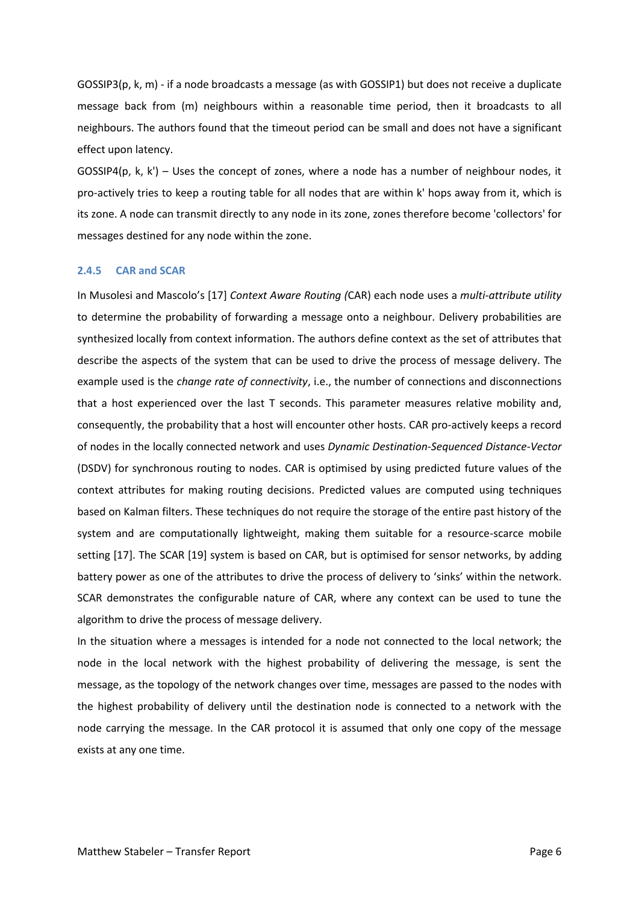GOSSIP3(p, k, m) - if a node broadcasts a message (as with GOSSIP1) but does not receive a duplicate message back from (m) neighbours within a reasonable time period, then it broadcasts to all neighbours. The authors found that the timeout period can be small and does not have a significant effect upon latency.

GOSSIP4(p, k, k') – Uses the concept of zones, where a node has a number of neighbour nodes, it pro-actively tries to keep a routing table for all nodes that are within k' hops away from it, which is its zone. A node can transmit directly to any node in its zone, zones therefore become 'collectors' for messages destined for any node within the zone.

#### <span id="page-9-0"></span>**2.4.5 CAR and SCAR**

In Musolesi and Mascolo's [17] *Context Aware Routing (*CAR) each node uses a *multi-attribute utility* to determine the probability of forwarding a message onto a neighbour. Delivery probabilities are synthesized locally from context information. The authors define context as the set of attributes that describe the aspects of the system that can be used to drive the process of message delivery. The example used is the *change rate of connectivity*, i.e., the number of connections and disconnections that a host experienced over the last T seconds. This parameter measures relative mobility and, consequently, the probability that a host will encounter other hosts. CAR pro-actively keeps a record of nodes in the locally connected network and uses *Dynamic Destination-Sequenced Distance-Vector* (DSDV) for synchronous routing to nodes. CAR is optimised by using predicted future values of the context attributes for making routing decisions. Predicted values are computed using techniques based on Kalman filters. These techniques do not require the storage of the entire past history of the system and are computationally lightweight, making them suitable for a resource-scarce mobile setting [17]. The SCAR [19] system is based on CAR, but is optimised for sensor networks, by adding battery power as one of the attributes to drive the process of delivery to 'sinks' within the network. SCAR demonstrates the configurable nature of CAR, where any context can be used to tune the algorithm to drive the process of message delivery.

In the situation where a messages is intended for a node not connected to the local network; the node in the local network with the highest probability of delivering the message, is sent the message, as the topology of the network changes over time, messages are passed to the nodes with the highest probability of delivery until the destination node is connected to a network with the node carrying the message. In the CAR protocol it is assumed that only one copy of the message exists at any one time.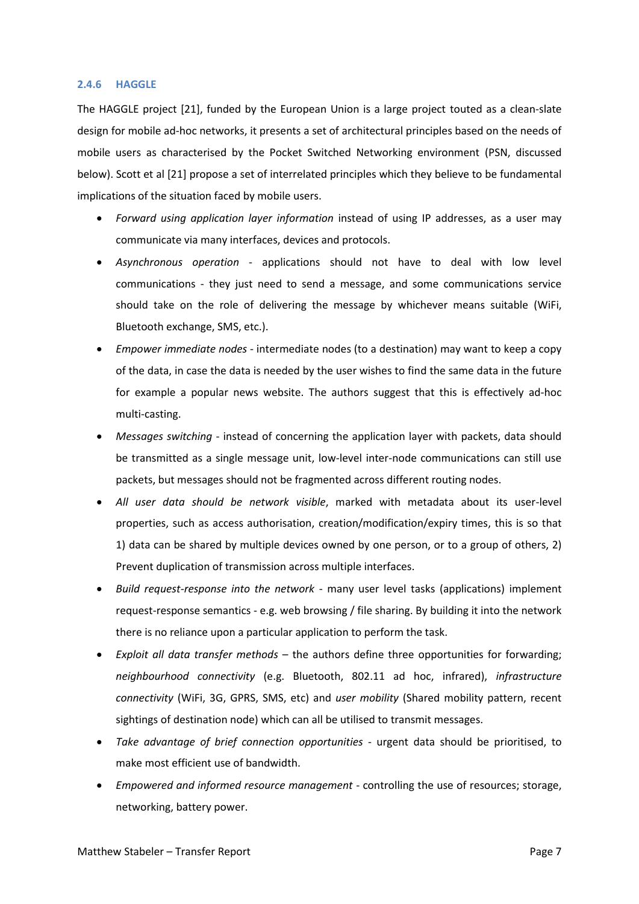#### <span id="page-10-0"></span>**2.4.6 HAGGLE**

The HAGGLE project [21], funded by the European Union is a large project touted as a clean-slate design for mobile ad-hoc networks, it presents a set of architectural principles based on the needs of mobile users as characterised by the Pocket Switched Networking environment (PSN, discussed [below\)](#page-11-0). Scott et al [21] propose a set of interrelated principles which they believe to be fundamental implications of the situation faced by mobile users.

- *Forward using application layer information* instead of using IP addresses, as a user may communicate via many interfaces, devices and protocols.
- *Asynchronous operation* applications should not have to deal with low level communications - they just need to send a message, and some communications service should take on the role of delivering the message by whichever means suitable (WiFi, Bluetooth exchange, SMS, etc.).
- *Empower immediate nodes* intermediate nodes (to a destination) may want to keep a copy of the data, in case the data is needed by the user wishes to find the same data in the future for example a popular news website. The authors suggest that this is effectively ad-hoc multi-casting.
- *Messages switching* instead of concerning the application layer with packets, data should be transmitted as a single message unit, low-level inter-node communications can still use packets, but messages should not be fragmented across different routing nodes.
- *All user data should be network visible*, marked with metadata about its user-level properties, such as access authorisation, creation/modification/expiry times, this is so that 1) data can be shared by multiple devices owned by one person, or to a group of others, 2) Prevent duplication of transmission across multiple interfaces.
- *Build request-response into the network* many user level tasks (applications) implement request-response semantics - e.g. web browsing / file sharing. By building it into the network there is no reliance upon a particular application to perform the task.
- *Exploit all data transfer methods* the authors define three opportunities for forwarding; *neighbourhood connectivity* (e.g. Bluetooth, 802.11 ad hoc, infrared), *infrastructure connectivity* (WiFi, 3G, GPRS, SMS, etc) and *user mobility* (Shared mobility pattern, recent sightings of destination node) which can all be utilised to transmit messages.
- *Take advantage of brief connection opportunities* urgent data should be prioritised, to make most efficient use of bandwidth.
- *Empowered and informed resource management* controlling the use of resources; storage, networking, battery power.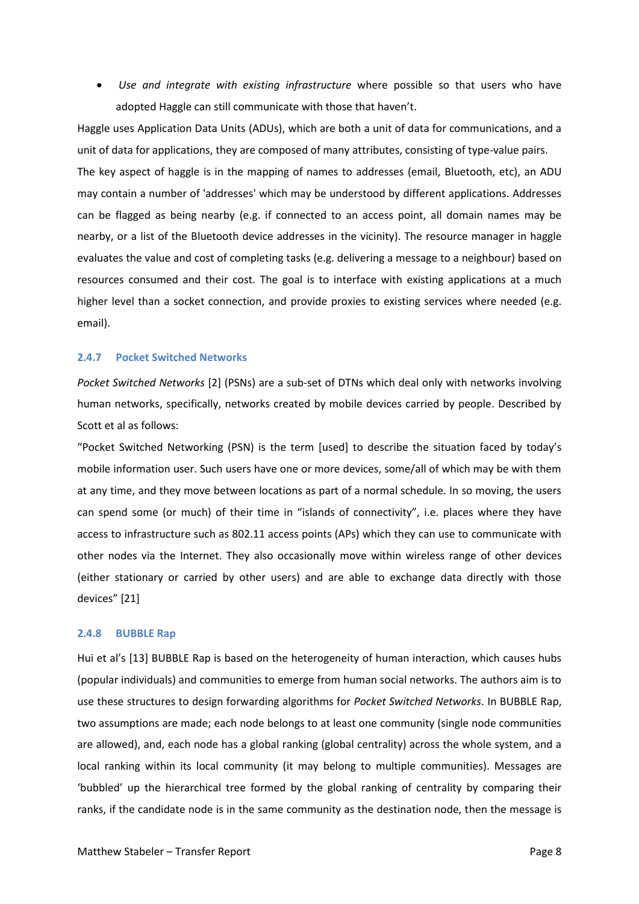*Use and integrate with existing infrastructure* where possible so that users who have adopted Haggle can still communicate with those that haven't.

Haggle uses Application Data Units (ADUs), which are both a unit of data for communications, and a unit of data for applications, they are composed of many attributes, consisting of type-value pairs. The key aspect of haggle is in the mapping of names to addresses (email, Bluetooth, etc), an ADU may contain a number of 'addresses' which may be understood by different applications. Addresses can be flagged as being nearby (e.g. if connected to an access point, all domain names may be nearby, or a list of the Bluetooth device addresses in the vicinity). The resource manager in haggle evaluates the value and cost of completing tasks (e.g. delivering a message to a neighbour) based on resources consumed and their cost. The goal is to interface with existing applications at a much higher level than a socket connection, and provide proxies to existing services where needed (e.g. email).

#### <span id="page-11-0"></span>**2.4.7 Pocket Switched Networks**

*Pocket Switched Networks* [2] (PSNs) are a sub-set of DTNs which deal only with networks involving human networks, specifically, networks created by mobile devices carried by people. Described by Scott et al as follows:

"Pocket Switched Networking (PSN) is the term [used] to describe the situation faced by today's mobile information user. Such users have one or more devices, some/all of which may be with them at any time, and they move between locations as part of a normal schedule. In so moving, the users can spend some (or much) of their time in "islands of connectivity", i.e. places where they have access to infrastructure such as 802.11 access points (APs) which they can use to communicate with other nodes via the Internet. They also occasionally move within wireless range of other devices (either stationary or carried by other users) and are able to exchange data directly with those devices" [21]

#### <span id="page-11-1"></span>**2.4.8 BUBBLE Rap**

Hui et al's [13] BUBBLE Rap is based on the heterogeneity of human interaction, which causes hubs (popular individuals) and communities to emerge from human social networks. The authors aim is to use these structures to design forwarding algorithms for *Pocket Switched Networks*. In BUBBLE Rap, two assumptions are made; each node belongs to at least one community (single node communities are allowed), and, each node has a global ranking (global centrality) across the whole system, and a local ranking within its local community (it may belong to multiple communities). Messages are 'bubbled' up the hierarchical tree formed by the global ranking of centrality by comparing their ranks, if the candidate node is in the same community as the destination node, then the message is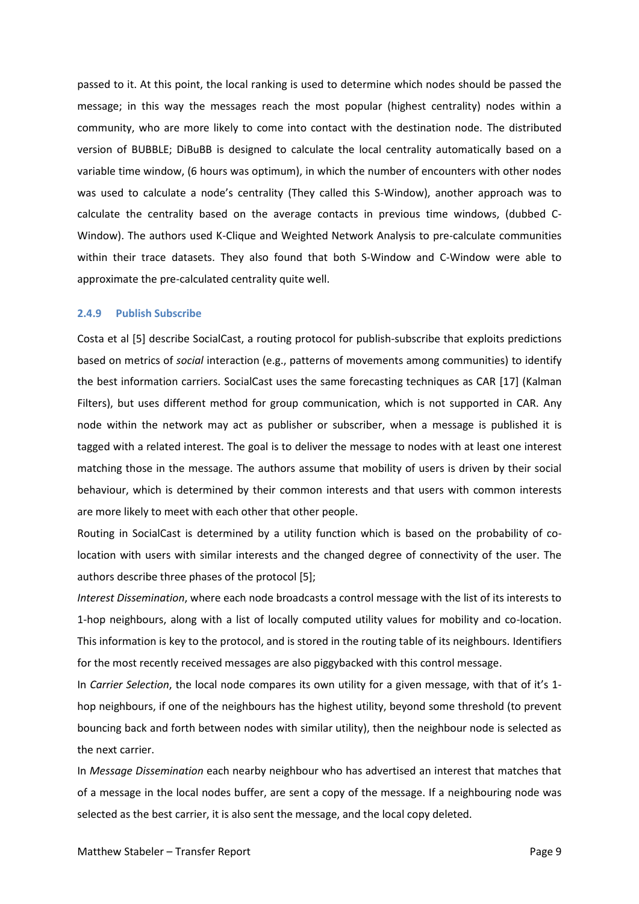passed to it. At this point, the local ranking is used to determine which nodes should be passed the message; in this way the messages reach the most popular (highest centrality) nodes within a community, who are more likely to come into contact with the destination node. The distributed version of BUBBLE; DiBuBB is designed to calculate the local centrality automatically based on a variable time window, (6 hours was optimum), in which the number of encounters with other nodes was used to calculate a node's centrality (They called this S-Window), another approach was to calculate the centrality based on the average contacts in previous time windows, (dubbed C-Window). The authors used K-Clique and Weighted Network Analysis to pre-calculate communities within their trace datasets. They also found that both S-Window and C-Window were able to approximate the pre-calculated centrality quite well.

#### <span id="page-12-0"></span>**2.4.9 Publish Subscribe**

Costa et al [5] describe SocialCast, a routing protocol for publish-subscribe that exploits predictions based on metrics of *social* interaction (e.g., patterns of movements among communities) to identify the best information carriers. SocialCast uses the same forecasting techniques as CAR [17] (Kalman Filters), but uses different method for group communication, which is not supported in CAR. Any node within the network may act as publisher or subscriber, when a message is published it is tagged with a related interest. The goal is to deliver the message to nodes with at least one interest matching those in the message. The authors assume that mobility of users is driven by their social behaviour, which is determined by their common interests and that users with common interests are more likely to meet with each other that other people.

Routing in SocialCast is determined by a utility function which is based on the probability of colocation with users with similar interests and the changed degree of connectivity of the user. The authors describe three phases of the protocol [5];

*Interest Dissemination*, where each node broadcasts a control message with the list of its interests to 1-hop neighbours, along with a list of locally computed utility values for mobility and co-location. This information is key to the protocol, and is stored in the routing table of its neighbours. Identifiers for the most recently received messages are also piggybacked with this control message.

In *Carrier Selection*, the local node compares its own utility for a given message, with that of it's 1 hop neighbours, if one of the neighbours has the highest utility, beyond some threshold (to prevent bouncing back and forth between nodes with similar utility), then the neighbour node is selected as the next carrier.

In *Message Dissemination* each nearby neighbour who has advertised an interest that matches that of a message in the local nodes buffer, are sent a copy of the message. If a neighbouring node was selected as the best carrier, it is also sent the message, and the local copy deleted.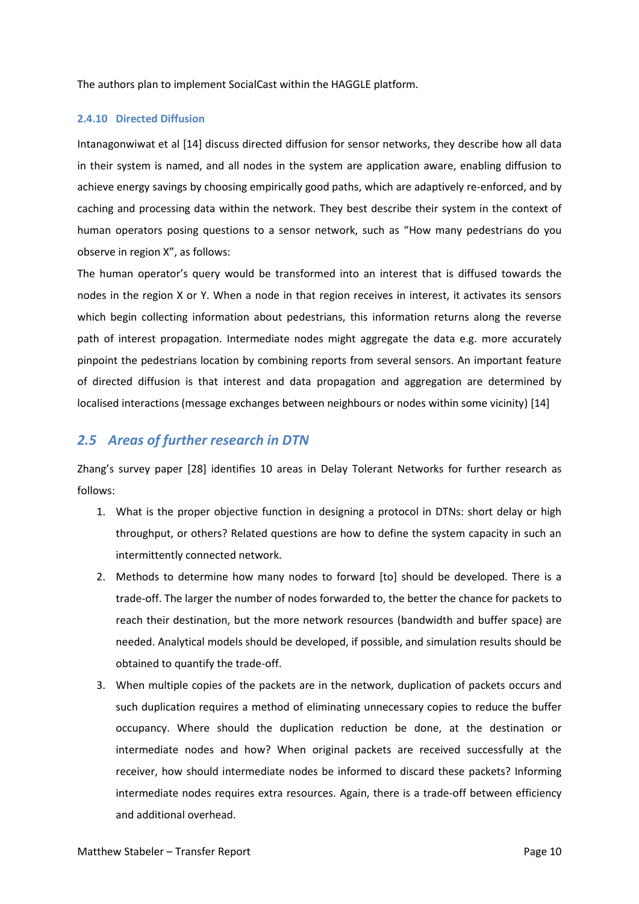The authors plan to implement SocialCast within the HAGGLE platform.

#### <span id="page-13-0"></span>**2.4.10 Directed Diffusion**

Intanagonwiwat et al [14] discuss directed diffusion for sensor networks, they describe how all data in their system is named, and all nodes in the system are application aware, enabling diffusion to achieve energy savings by choosing empirically good paths, which are adaptively re-enforced, and by caching and processing data within the network. They best describe their system in the context of human operators posing questions to a sensor network, such as "How many pedestrians do you observe in region X", as follows:

The human operator's query would be transformed into an interest that is diffused towards the nodes in the region X or Y. When a node in that region receives in interest, it activates its sensors which begin collecting information about pedestrians, this information returns along the reverse path of interest propagation. Intermediate nodes might aggregate the data e.g. more accurately pinpoint the pedestrians location by combining reports from several sensors. An important feature of directed diffusion is that interest and data propagation and aggregation are determined by localised interactions (message exchanges between neighbours or nodes within some vicinity) [14]

### <span id="page-13-1"></span>*2.5 Areas of further research in DTN*

Zhang's survey paper [28] identifies 10 areas in Delay Tolerant Networks for further research as follows:

- 1. What is the proper objective function in designing a protocol in DTNs: short delay or high throughput, or others? Related questions are how to define the system capacity in such an intermittently connected network.
- 2. Methods to determine how many nodes to forward [to] should be developed. There is a trade-off. The larger the number of nodes forwarded to, the better the chance for packets to reach their destination, but the more network resources (bandwidth and buffer space) are needed. Analytical models should be developed, if possible, and simulation results should be obtained to quantify the trade-off.
- 3. When multiple copies of the packets are in the network, duplication of packets occurs and such duplication requires a method of eliminating unnecessary copies to reduce the buffer occupancy. Where should the duplication reduction be done, at the destination or intermediate nodes and how? When original packets are received successfully at the receiver, how should intermediate nodes be informed to discard these packets? Informing intermediate nodes requires extra resources. Again, there is a trade-off between efficiency and additional overhead.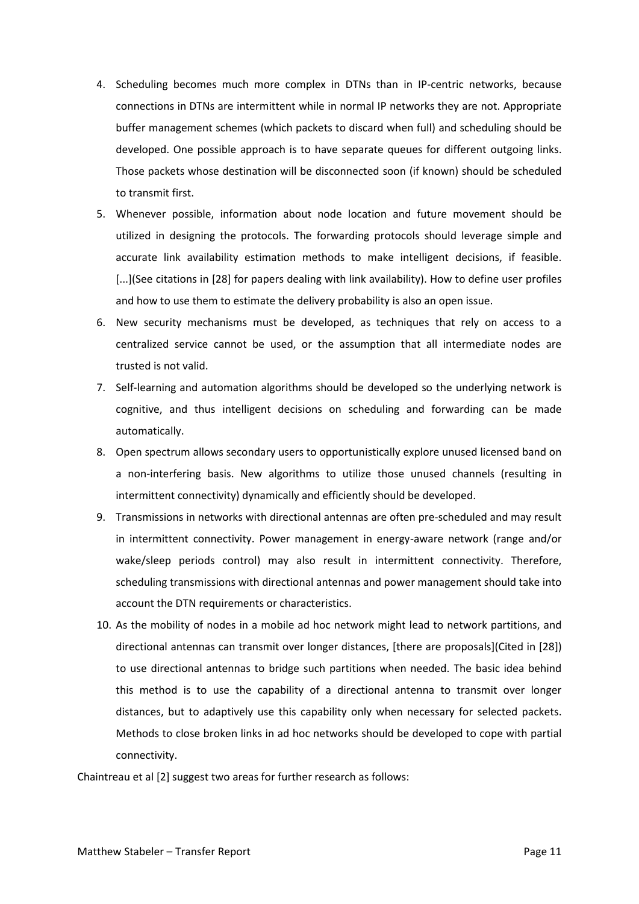- 4. Scheduling becomes much more complex in DTNs than in IP-centric networks, because connections in DTNs are intermittent while in normal IP networks they are not. Appropriate buffer management schemes (which packets to discard when full) and scheduling should be developed. One possible approach is to have separate queues for different outgoing links. Those packets whose destination will be disconnected soon (if known) should be scheduled to transmit first.
- 5. Whenever possible, information about node location and future movement should be utilized in designing the protocols. The forwarding protocols should leverage simple and accurate link availability estimation methods to make intelligent decisions, if feasible. [...](See citations in [28] for papers dealing with link availability). How to define user profiles and how to use them to estimate the delivery probability is also an open issue.
- 6. New security mechanisms must be developed, as techniques that rely on access to a centralized service cannot be used, or the assumption that all intermediate nodes are trusted is not valid.
- 7. Self-learning and automation algorithms should be developed so the underlying network is cognitive, and thus intelligent decisions on scheduling and forwarding can be made automatically.
- 8. Open spectrum allows secondary users to opportunistically explore unused licensed band on a non-interfering basis. New algorithms to utilize those unused channels (resulting in intermittent connectivity) dynamically and efficiently should be developed.
- 9. Transmissions in networks with directional antennas are often pre-scheduled and may result in intermittent connectivity. Power management in energy-aware network (range and/or wake/sleep periods control) may also result in intermittent connectivity. Therefore, scheduling transmissions with directional antennas and power management should take into account the DTN requirements or characteristics.
- 10. As the mobility of nodes in a mobile ad hoc network might lead to network partitions, and directional antennas can transmit over longer distances, [there are proposals](Cited in [28]) to use directional antennas to bridge such partitions when needed. The basic idea behind this method is to use the capability of a directional antenna to transmit over longer distances, but to adaptively use this capability only when necessary for selected packets. Methods to close broken links in ad hoc networks should be developed to cope with partial connectivity.

Chaintreau et al [2] suggest two areas for further research as follows: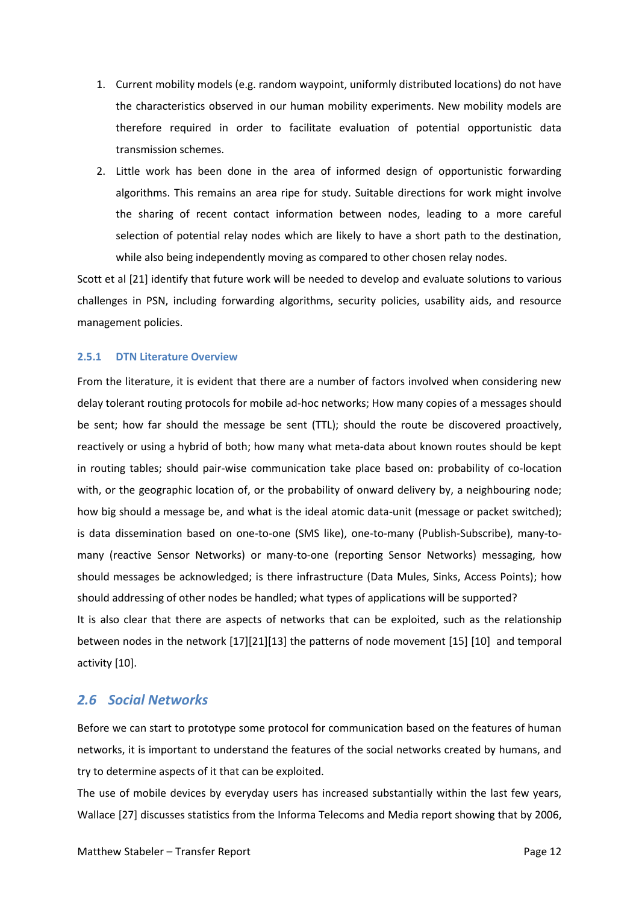- 1. Current mobility models (e.g. random waypoint, uniformly distributed locations) do not have the characteristics observed in our human mobility experiments. New mobility models are therefore required in order to facilitate evaluation of potential opportunistic data transmission schemes.
- 2. Little work has been done in the area of informed design of opportunistic forwarding algorithms. This remains an area ripe for study. Suitable directions for work might involve the sharing of recent contact information between nodes, leading to a more careful selection of potential relay nodes which are likely to have a short path to the destination, while also being independently moving as compared to other chosen relay nodes.

Scott et al [21] identify that future work will be needed to develop and evaluate solutions to various challenges in PSN, including forwarding algorithms, security policies, usability aids, and resource management policies.

#### <span id="page-15-0"></span>**2.5.1 DTN Literature Overview**

From the literature, it is evident that there are a number of factors involved when considering new delay tolerant routing protocols for mobile ad-hoc networks; How many copies of a messages should be sent; how far should the message be sent (TTL); should the route be discovered proactively, reactively or using a hybrid of both; how many what meta-data about known routes should be kept in routing tables; should pair-wise communication take place based on: probability of co-location with, or the geographic location of, or the probability of onward delivery by, a neighbouring node; how big should a message be, and what is the ideal atomic data-unit (message or packet switched); is data dissemination based on one-to-one (SMS like), one-to-many (Publish-Subscribe), many-tomany (reactive Sensor Networks) or many-to-one (reporting Sensor Networks) messaging, how should messages be acknowledged; is there infrastructure (Data Mules, Sinks, Access Points); how should addressing of other nodes be handled; what types of applications will be supported? It is also clear that there are aspects of networks that can be exploited, such as the relationship between nodes in the network [17][21][13] the patterns of node movement [15] [10] and temporal

activity [10].

### <span id="page-15-1"></span>*2.6 Social Networks*

Before we can start to prototype some protocol for communication based on the features of human networks, it is important to understand the features of the social networks created by humans, and try to determine aspects of it that can be exploited.

The use of mobile devices by everyday users has increased substantially within the last few years, Wallace [27] discusses statistics from the Informa Telecoms and Media report showing that by 2006,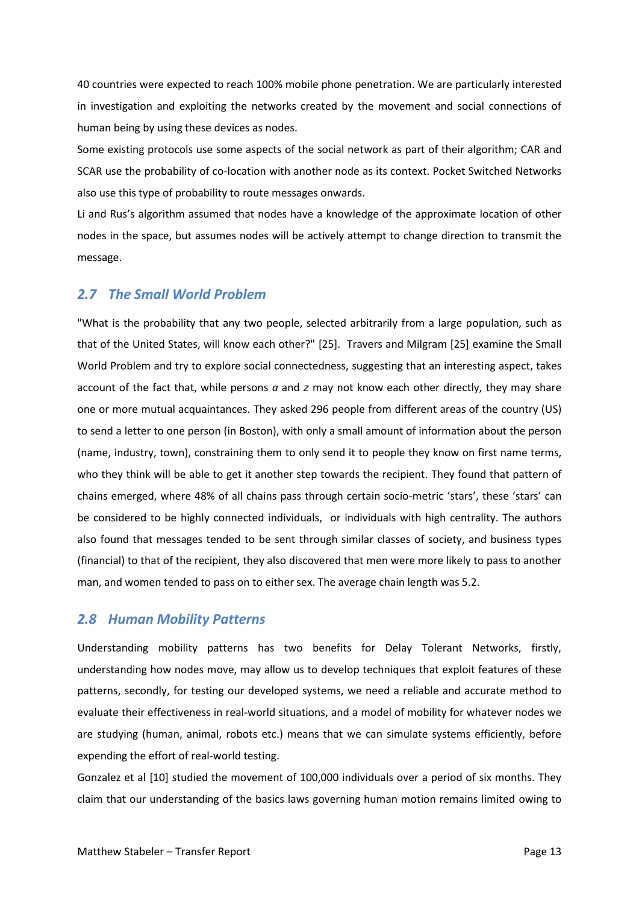40 countries were expected to reach 100% mobile phone penetration. We are particularly interested in investigation and exploiting the networks created by the movement and social connections of human being by using these devices as nodes.

Some existing protocols use some aspects of the social network as part of their algorithm; CAR and SCAR use the probability of co-location with another node as its context. Pocket Switched Networks also use this type of probability to route messages onwards.

Li and Rus's algorithm assumed that nodes have a knowledge of the approximate location of other nodes in the space, but assumes nodes will be actively attempt to change direction to transmit the message.

### <span id="page-16-0"></span>*2.7 The Small World Problem*

"What is the probability that any two people, selected arbitrarily from a large population, such as that of the United States, will know each other?" [25]. Travers and Milgram [25] examine the Small World Problem and try to explore social connectedness, suggesting that an interesting aspect, takes account of the fact that, while persons *a* and *z* may not know each other directly, they may share one or more mutual acquaintances. They asked 296 people from different areas of the country (US) to send a letter to one person (in Boston), with only a small amount of information about the person (name, industry, town), constraining them to only send it to people they know on first name terms, who they think will be able to get it another step towards the recipient. They found that pattern of chains emerged, where 48% of all chains pass through certain socio-metric 'stars', these 'stars' can be considered to be highly connected individuals, or individuals with high centrality. The authors also found that messages tended to be sent through similar classes of society, and business types (financial) to that of the recipient, they also discovered that men were more likely to pass to another man, and women tended to pass on to either sex. The average chain length was 5.2.

### <span id="page-16-1"></span>*2.8 Human Mobility Patterns*

Understanding mobility patterns has two benefits for Delay Tolerant Networks, firstly, understanding how nodes move, may allow us to develop techniques that exploit features of these patterns, secondly, for testing our developed systems, we need a reliable and accurate method to evaluate their effectiveness in real-world situations, and a model of mobility for whatever nodes we are studying (human, animal, robots etc.) means that we can simulate systems efficiently, before expending the effort of real-world testing.

Gonzalez et al [10] studied the movement of 100,000 individuals over a period of six months. They claim that our understanding of the basics laws governing human motion remains limited owing to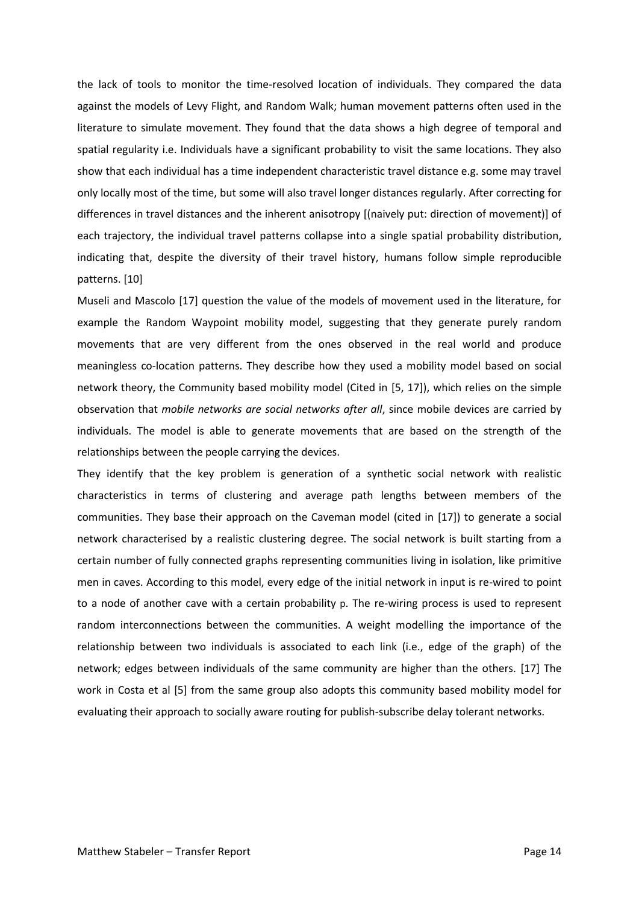the lack of tools to monitor the time-resolved location of individuals. They compared the data against the models of Levy Flight, and Random Walk; human movement patterns often used in the literature to simulate movement. They found that the data shows a high degree of temporal and spatial regularity i.e. Individuals have a significant probability to visit the same locations. They also show that each individual has a time independent characteristic travel distance e.g. some may travel only locally most of the time, but some will also travel longer distances regularly. After correcting for differences in travel distances and the inherent anisotropy [(naively put: direction of movement)] of each trajectory, the individual travel patterns collapse into a single spatial probability distribution, indicating that, despite the diversity of their travel history, humans follow simple reproducible patterns. [10]

Museli and Mascolo [17] question the value of the models of movement used in the literature, for example the Random Waypoint mobility model, suggesting that they generate purely random movements that are very different from the ones observed in the real world and produce meaningless co-location patterns. They describe how they used a mobility model based on social network theory, the Community based mobility model (Cited in [5, 17]), which relies on the simple observation that *mobile networks are social networks after all*, since mobile devices are carried by individuals. The model is able to generate movements that are based on the strength of the relationships between the people carrying the devices.

They identify that the key problem is generation of a synthetic social network with realistic characteristics in terms of clustering and average path lengths between members of the communities. They base their approach on the Caveman model (cited in [17]) to generate a social network characterised by a realistic clustering degree. The social network is built starting from a certain number of fully connected graphs representing communities living in isolation, like primitive men in caves. According to this model, every edge of the initial network in input is re-wired to point to a node of another cave with a certain probability p. The re-wiring process is used to represent random interconnections between the communities. A weight modelling the importance of the relationship between two individuals is associated to each link (i.e., edge of the graph) of the network; edges between individuals of the same community are higher than the others. [17] The work in Costa et al [5] from the same group also adopts this community based mobility model for evaluating their approach to socially aware routing for publish-subscribe delay tolerant networks.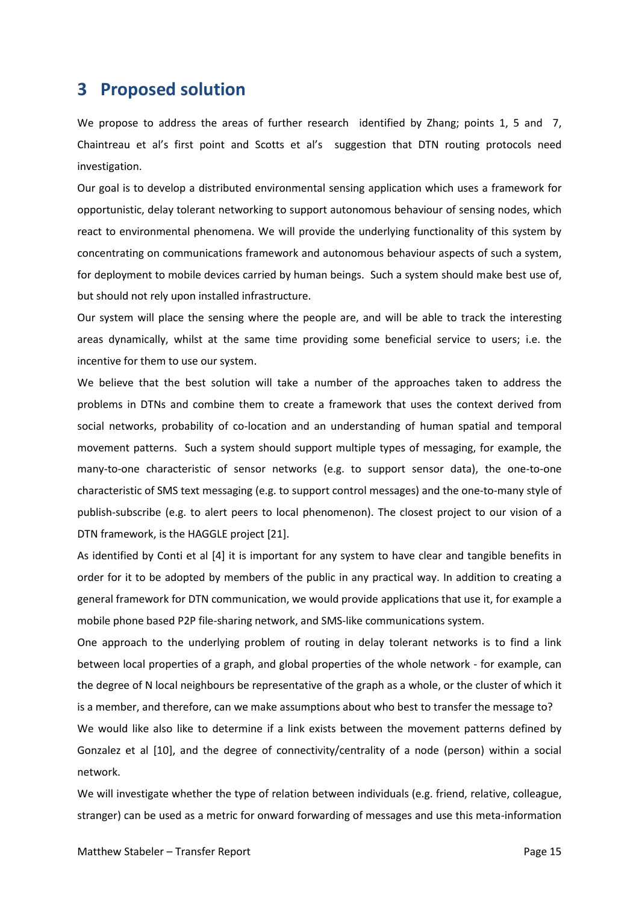# <span id="page-18-0"></span>**3 Proposed solution**

We propose to address the areas of further research identified by Zhang; points 1, 5 and 7, Chaintreau et al's first point and Scotts et al's suggestion that DTN routing protocols need investigation.

Our goal is to develop a distributed environmental sensing application which uses a framework for opportunistic, delay tolerant networking to support autonomous behaviour of sensing nodes, which react to environmental phenomena. We will provide the underlying functionality of this system by concentrating on communications framework and autonomous behaviour aspects of such a system, for deployment to mobile devices carried by human beings. Such a system should make best use of, but should not rely upon installed infrastructure.

Our system will place the sensing where the people are, and will be able to track the interesting areas dynamically, whilst at the same time providing some beneficial service to users; i.e. the incentive for them to use our system.

We believe that the best solution will take a number of the approaches taken to address the problems in DTNs and combine them to create a framework that uses the context derived from social networks, probability of co-location and an understanding of human spatial and temporal movement patterns. Such a system should support multiple types of messaging, for example, the many-to-one characteristic of sensor networks (e.g. to support sensor data), the one-to-one characteristic of SMS text messaging (e.g. to support control messages) and the one-to-many style of publish-subscribe (e.g. to alert peers to local phenomenon). The closest project to our vision of a DTN framework, is the HAGGLE project [21].

As identified by Conti et al [4] it is important for any system to have clear and tangible benefits in order for it to be adopted by members of the public in any practical way. In addition to creating a general framework for DTN communication, we would provide applications that use it, for example a mobile phone based P2P file-sharing network, and SMS-like communications system.

One approach to the underlying problem of routing in delay tolerant networks is to find a link between local properties of a graph, and global properties of the whole network - for example, can the degree of N local neighbours be representative of the graph as a whole, or the cluster of which it is a member, and therefore, can we make assumptions about who best to transfer the message to?

We would like also like to determine if a link exists between the movement patterns defined by Gonzalez et al [10], and the degree of connectivity/centrality of a node (person) within a social network.

We will investigate whether the type of relation between individuals (e.g. friend, relative, colleague, stranger) can be used as a metric for onward forwarding of messages and use this meta-information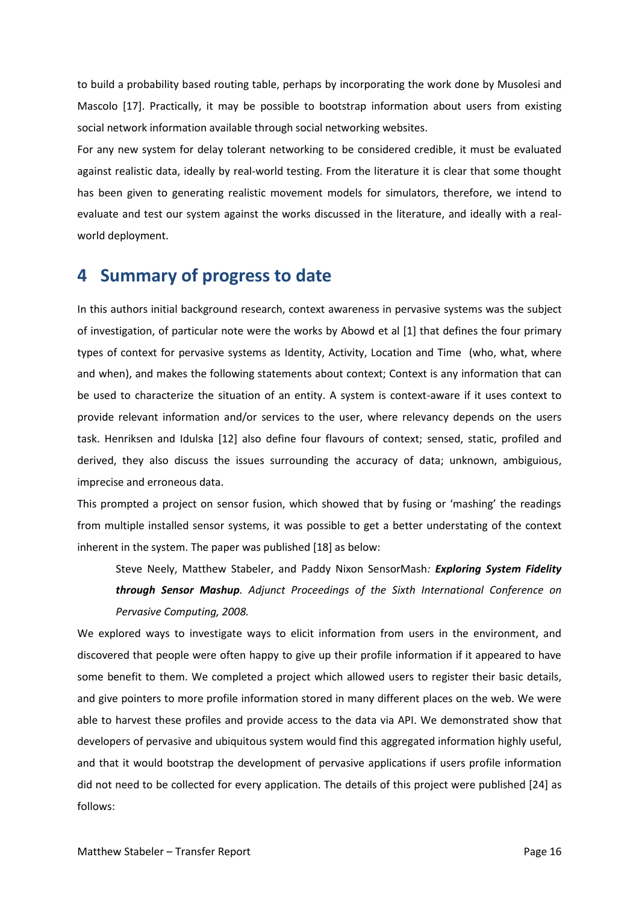to build a probability based routing table, perhaps by incorporating the work done by Musolesi and Mascolo [17]. Practically, it may be possible to bootstrap information about users from existing social network information available through social networking websites.

For any new system for delay tolerant networking to be considered credible, it must be evaluated against realistic data, ideally by real-world testing. From the literature it is clear that some thought has been given to generating realistic movement models for simulators, therefore, we intend to evaluate and test our system against the works discussed in the literature, and ideally with a realworld deployment.

# <span id="page-19-0"></span>**4 Summary of progress to date**

In this authors initial background research, context awareness in pervasive systems was the subject of investigation, of particular note were the works by Abowd et al [1] that defines the four primary types of context for pervasive systems as Identity, Activity, Location and Time (who, what, where and when), and makes the following statements about context; Context is any information that can be used to characterize the situation of an entity. A system is context-aware if it uses context to provide relevant information and/or services to the user, where relevancy depends on the users task. Henriksen and Idulska [12] also define four flavours of context; sensed, static, profiled and derived, they also discuss the issues surrounding the accuracy of data; unknown, ambiguious, imprecise and erroneous data.

This prompted a project on sensor fusion, which showed that by fusing or 'mashing' the readings from multiple installed sensor systems, it was possible to get a better understating of the context inherent in the system. The paper was published [18] as below:

Steve Neely, Matthew Stabeler, and Paddy Nixon SensorMash*: Exploring System Fidelity through Sensor Mashup. Adjunct Proceedings of the Sixth International Conference on Pervasive Computing, 2008.*

We explored ways to investigate ways to elicit information from users in the environment, and discovered that people were often happy to give up their profile information if it appeared to have some benefit to them. We completed a project which allowed users to register their basic details, and give pointers to more profile information stored in many different places on the web. We were able to harvest these profiles and provide access to the data via API. We demonstrated show that developers of pervasive and ubiquitous system would find this aggregated information highly useful, and that it would bootstrap the development of pervasive applications if users profile information did not need to be collected for every application. The details of this project were published [24] as follows: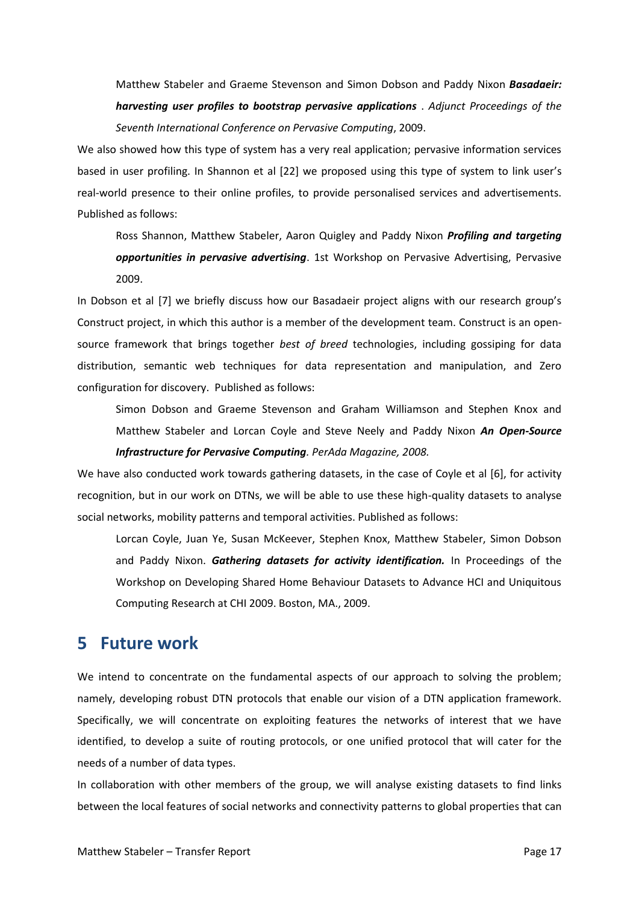Matthew Stabeler and Graeme Stevenson and Simon Dobson and Paddy Nixon *Basadaeir: harvesting user profiles to bootstrap pervasive applications* . *Adjunct Proceedings of the Seventh International Conference on Pervasive Computing*, 2009.

We also showed how this type of system has a very real application; pervasive information services based in user profiling. In Shannon et al [22] we proposed using this type of system to link user's real-world presence to their online profiles, to provide personalised services and advertisements. Published as follows:

Ross Shannon, Matthew Stabeler, Aaron Quigley and Paddy Nixon *Profiling and targeting opportunities in pervasive advertising*. 1st Workshop on Pervasive Advertising, Pervasive 2009.

In Dobson et al [7] we briefly discuss how our Basadaeir project aligns with our research group's Construct project, in which this author is a member of the development team. Construct is an opensource framework that brings together *best of breed* technologies, including gossiping for data distribution, semantic web techniques for data representation and manipulation, and Zero configuration for discovery. Published as follows:

Simon Dobson and Graeme Stevenson and Graham Williamson and Stephen Knox and Matthew Stabeler and Lorcan Coyle and Steve Neely and Paddy Nixon *An Open-Source Infrastructure for Pervasive Computing. PerAda Magazine, 2008.*

We have also conducted work towards gathering datasets, in the case of Coyle et al [6], for activity recognition, but in our work on DTNs, we will be able to use these high-quality datasets to analyse social networks, mobility patterns and temporal activities. Published as follows:

Lorcan Coyle, Juan Ye, Susan McKeever, Stephen Knox, Matthew Stabeler, Simon Dobson and Paddy Nixon. *Gathering datasets for activity identification.* In Proceedings of the Workshop on Developing Shared Home Behaviour Datasets to Advance HCI and Uniquitous Computing Research at CHI 2009. Boston, MA., 2009.

# <span id="page-20-0"></span>**5 Future work**

We intend to concentrate on the fundamental aspects of our approach to solving the problem; namely, developing robust DTN protocols that enable our vision of a DTN application framework. Specifically, we will concentrate on exploiting features the networks of interest that we have identified, to develop a suite of routing protocols, or one unified protocol that will cater for the needs of a number of data types.

In collaboration with other members of the group, we will analyse existing datasets to find links between the local features of social networks and connectivity patterns to global properties that can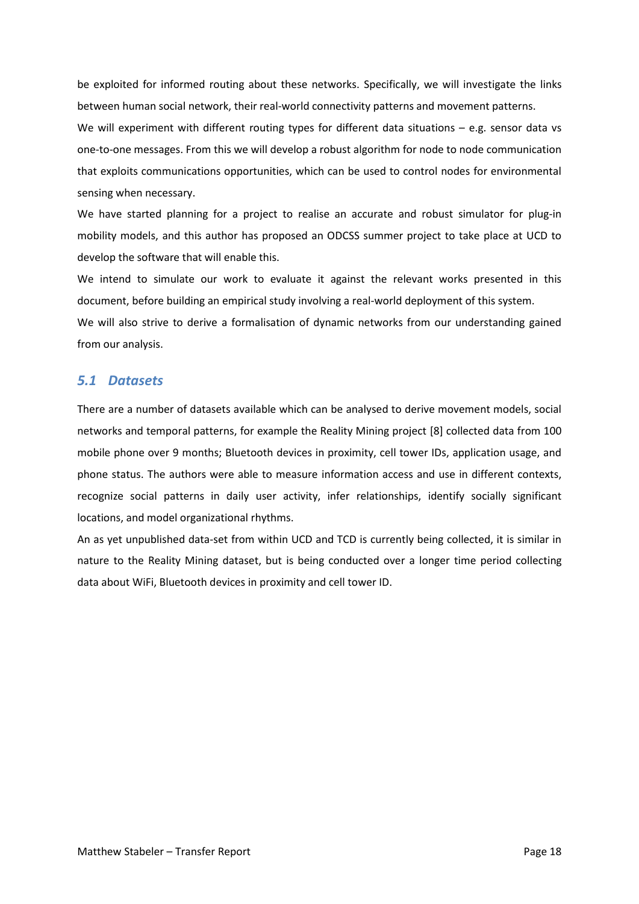be exploited for informed routing about these networks. Specifically, we will investigate the links between human social network, their real-world connectivity patterns and movement patterns.

We will experiment with different routing types for different data situations  $-$  e.g. sensor data vs one-to-one messages. From this we will develop a robust algorithm for node to node communication that exploits communications opportunities, which can be used to control nodes for environmental sensing when necessary.

We have started planning for a project to realise an accurate and robust simulator for plug-in mobility models, and this author has proposed an ODCSS summer project to take place at UCD to develop the software that will enable this.

We intend to simulate our work to evaluate it against the relevant works presented in this document, before building an empirical study involving a real-world deployment of this system.

We will also strive to derive a formalisation of dynamic networks from our understanding gained from our analysis.

### <span id="page-21-0"></span>*5.1 Datasets*

There are a number of datasets available which can be analysed to derive movement models, social networks and temporal patterns, for example the Reality Mining project [8] collected data from 100 mobile phone over 9 months; Bluetooth devices in proximity, cell tower IDs, application usage, and phone status. The authors were able to measure information access and use in different contexts, recognize social patterns in daily user activity, infer relationships, identify socially significant locations, and model organizational rhythms.

An as yet unpublished data-set from within UCD and TCD is currently being collected, it is similar in nature to the Reality Mining dataset, but is being conducted over a longer time period collecting data about WiFi, Bluetooth devices in proximity and cell tower ID.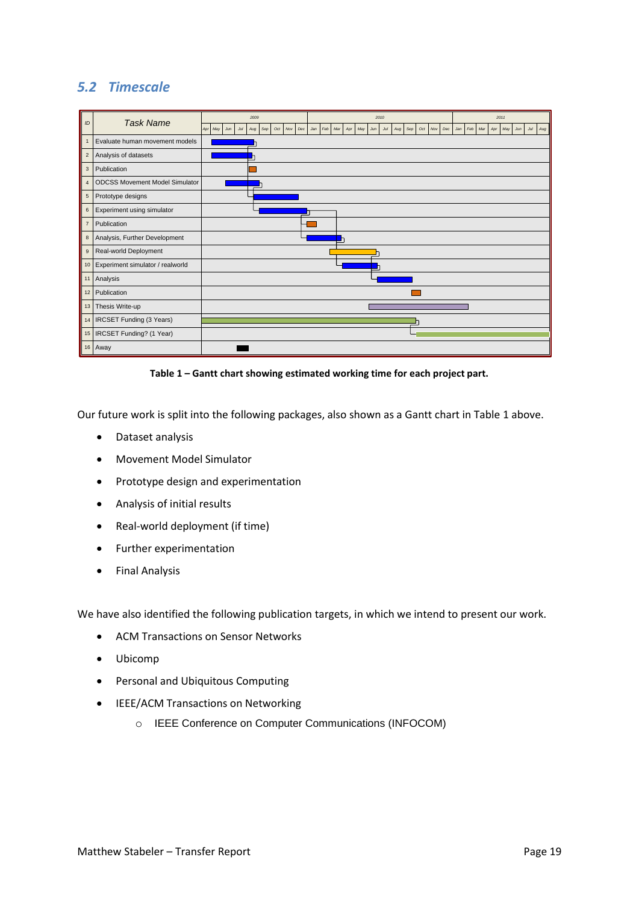## <span id="page-22-0"></span>*5.2 Timescale*

| ID             | <b>Task Name</b>                      | 2009                     |                   |            |     | 2010       |     |            |     |     |     |     |     |            |     | 2011 |     |     |     |     |     |  |  |
|----------------|---------------------------------------|--------------------------|-------------------|------------|-----|------------|-----|------------|-----|-----|-----|-----|-----|------------|-----|------|-----|-----|-----|-----|-----|--|--|
|                |                                       | Apr<br>May<br>Jul<br>Jun | Oct<br>Sep<br>Aug | Nov<br>Dec | Jan | Feb<br>Mar | Apr | May<br>Jun | Jul | Aug | Sep | Oct | Nov | Dec<br>Jan | Feb | Mar  | Apr | May | Jun | Jul | Aug |  |  |
| $\overline{1}$ | Evaluate human movement models        |                          |                   |            |     |            |     |            |     |     |     |     |     |            |     |      |     |     |     |     |     |  |  |
| $\overline{2}$ | Analysis of datasets                  |                          |                   |            |     |            |     |            |     |     |     |     |     |            |     |      |     |     |     |     |     |  |  |
| $\mathbf{3}$   | Publication                           |                          |                   |            |     |            |     |            |     |     |     |     |     |            |     |      |     |     |     |     |     |  |  |
| $\overline{4}$ | <b>ODCSS Movement Model Simulator</b> |                          |                   |            |     |            |     |            |     |     |     |     |     |            |     |      |     |     |     |     |     |  |  |
| $\sqrt{5}$     | Prototype designs                     |                          |                   |            |     |            |     |            |     |     |     |     |     |            |     |      |     |     |     |     |     |  |  |
| $\,6$          | Experiment using simulator            |                          |                   |            |     |            |     |            |     |     |     |     |     |            |     |      |     |     |     |     |     |  |  |
| $\overline{7}$ | Publication                           |                          |                   |            |     |            |     |            |     |     |     |     |     |            |     |      |     |     |     |     |     |  |  |
| 8              | Analysis, Further Development         |                          |                   |            |     |            |     |            |     |     |     |     |     |            |     |      |     |     |     |     |     |  |  |
| $\mathsf g$    | Real-world Deployment                 |                          |                   |            |     |            |     |            |     |     |     |     |     |            |     |      |     |     |     |     |     |  |  |
|                | 10 Experiment simulator / realworld   |                          |                   |            |     |            |     |            |     |     |     |     |     |            |     |      |     |     |     |     |     |  |  |
| 11             | Analysis                              |                          |                   |            |     |            |     |            |     |     |     |     |     |            |     |      |     |     |     |     |     |  |  |
| 12             | Publication                           |                          |                   |            |     |            |     |            |     |     |     |     |     |            |     |      |     |     |     |     |     |  |  |
| 13             | Thesis Write-up                       |                          |                   |            |     |            |     |            |     |     |     |     |     |            |     |      |     |     |     |     |     |  |  |
| 14             | IRCSET Funding (3 Years)              |                          |                   |            |     |            |     |            |     |     |     |     |     |            |     |      |     |     |     |     |     |  |  |
|                | 15   IRCSET Funding? (1 Year)         |                          |                   |            |     |            |     |            |     |     |     |     |     |            |     |      |     |     |     |     |     |  |  |
|                | 16 Away                               |                          |                   |            |     |            |     |            |     |     |     |     |     |            |     |      |     |     |     |     |     |  |  |

**Table 1 – Gantt chart showing estimated working time for each project part.**

<span id="page-22-1"></span>Our future work is split into the following packages, also shown as a Gantt chart i[n Table 1](#page-22-1) [above.](#page-22-1)

- Dataset analysis
- Movement Model Simulator
- Prototype design and experimentation
- Analysis of initial results
- Real-world deployment (if time)
- Further experimentation
- **•** Final Analysis

We have also identified the following publication targets, in which we intend to present our work.

- ACM Transactions on Sensor Networks
- Ubicomp
- Personal and Ubiquitous Computing
- IEEE/ACM Transactions on Networking
	- o IEEE Conference on Computer Communications (INFOCOM)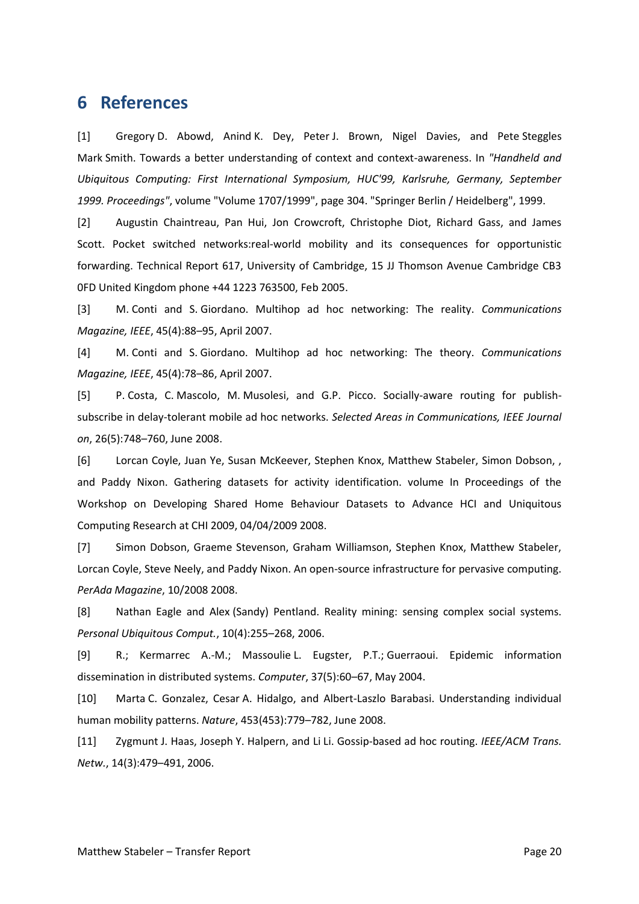# <span id="page-23-0"></span>**6 References**

[1] Gregory D. Abowd, Anind K. Dey, Peter J. Brown, Nigel Davies, and Pete Steggles Mark Smith. Towards a better understanding of context and context-awareness. In *"Handheld and Ubiquitous Computing: First International Symposium, HUC'99, Karlsruhe, Germany, September 1999. Proceedings"*, volume "Volume 1707/1999", page 304. "Springer Berlin / Heidelberg", 1999.

[2] Augustin Chaintreau, Pan Hui, Jon Crowcroft, Christophe Diot, Richard Gass, and James Scott. Pocket switched networks:real-world mobility and its consequences for opportunistic forwarding. Technical Report 617, University of Cambridge, 15 JJ Thomson Avenue Cambridge CB3 0FD United Kingdom phone +44 1223 763500, Feb 2005.

[3] M. Conti and S. Giordano. Multihop ad hoc networking: The reality. *Communications Magazine, IEEE*, 45(4):88–95, April 2007.

[4] M. Conti and S. Giordano. Multihop ad hoc networking: The theory. *Communications Magazine, IEEE*, 45(4):78–86, April 2007.

[5] P. Costa, C. Mascolo, M. Musolesi, and G.P. Picco. Socially-aware routing for publishsubscribe in delay-tolerant mobile ad hoc networks. *Selected Areas in Communications, IEEE Journal on*, 26(5):748–760, June 2008.

[6] Lorcan Coyle, Juan Ye, Susan McKeever, Stephen Knox, Matthew Stabeler, Simon Dobson, , and Paddy Nixon. Gathering datasets for activity identification. volume In Proceedings of the Workshop on Developing Shared Home Behaviour Datasets to Advance HCI and Uniquitous Computing Research at CHI 2009, 04/04/2009 2008.

[7] Simon Dobson, Graeme Stevenson, Graham Williamson, Stephen Knox, Matthew Stabeler, Lorcan Coyle, Steve Neely, and Paddy Nixon. An open-source infrastructure for pervasive computing. *PerAda Magazine*, 10/2008 2008.

[8] Nathan Eagle and Alex (Sandy) Pentland. Reality mining: sensing complex social systems. *Personal Ubiquitous Comput.*, 10(4):255–268, 2006.

[9] R.; Kermarrec A.-M.; Massoulie L. Eugster, P.T.; Guerraoui. Epidemic information dissemination in distributed systems. *Computer*, 37(5):60–67, May 2004.

[10] Marta C. Gonzalez, Cesar A. Hidalgo, and Albert-Laszlo Barabasi. Understanding individual human mobility patterns. *Nature*, 453(453):779–782, June 2008.

[11] Zygmunt J. Haas, Joseph Y. Halpern, and Li Li. Gossip-based ad hoc routing. *IEEE/ACM Trans. Netw.*, 14(3):479–491, 2006.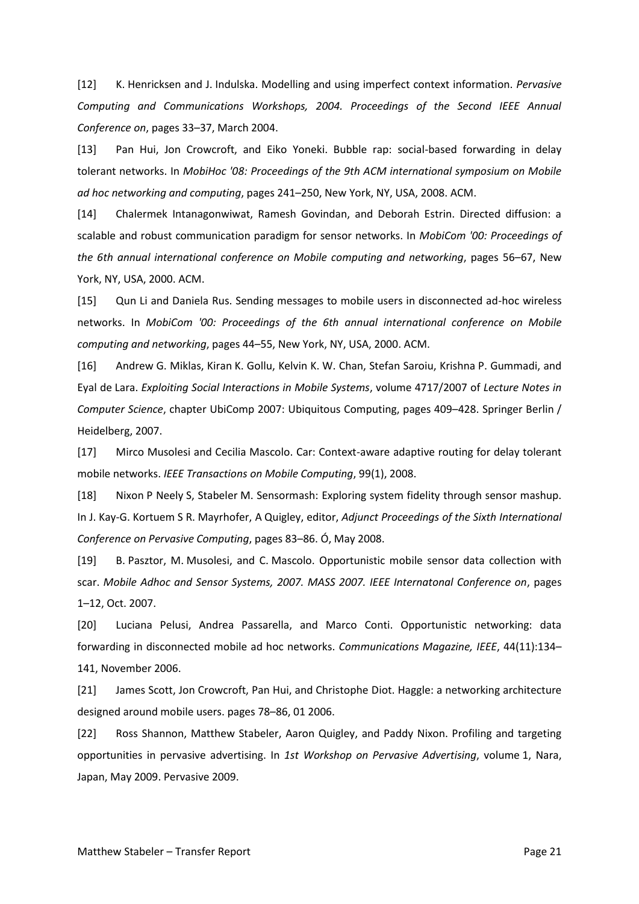[12] K. Henricksen and J. Indulska. Modelling and using imperfect context information. *Pervasive Computing and Communications Workshops, 2004. Proceedings of the Second IEEE Annual Conference on*, pages 33–37, March 2004.

[13] Pan Hui, Jon Crowcroft, and Eiko Yoneki. Bubble rap: social-based forwarding in delay tolerant networks. In *MobiHoc '08: Proceedings of the 9th ACM international symposium on Mobile ad hoc networking and computing*, pages 241–250, New York, NY, USA, 2008. ACM.

[14] Chalermek Intanagonwiwat, Ramesh Govindan, and Deborah Estrin. Directed diffusion: a scalable and robust communication paradigm for sensor networks. In *MobiCom '00: Proceedings of the 6th annual international conference on Mobile computing and networking*, pages 56–67, New York, NY, USA, 2000. ACM.

[15] Qun Li and Daniela Rus. Sending messages to mobile users in disconnected ad-hoc wireless networks. In *MobiCom '00: Proceedings of the 6th annual international conference on Mobile computing and networking*, pages 44–55, New York, NY, USA, 2000. ACM.

[16] Andrew G. Miklas, Kiran K. Gollu, Kelvin K. W. Chan, Stefan Saroiu, Krishna P. Gummadi, and Eyal de Lara. *Exploiting Social Interactions in Mobile Systems*, volume 4717/2007 of *Lecture Notes in Computer Science*, chapter UbiComp 2007: Ubiquitous Computing, pages 409–428. Springer Berlin / Heidelberg, 2007.

[17] Mirco Musolesi and Cecilia Mascolo. Car: Context-aware adaptive routing for delay tolerant mobile networks. *IEEE Transactions on Mobile Computing*, 99(1), 2008.

[18] Nixon P Neely S, Stabeler M. Sensormash: Exploring system fidelity through sensor mashup. In J. Kay-G. Kortuem S R. Mayrhofer, A Quigley, editor, *Adjunct Proceedings of the Sixth International Conference on Pervasive Computing*, pages 83–86. Ó, May 2008.

[19] B. Pasztor, M. Musolesi, and C. Mascolo. Opportunistic mobile sensor data collection with scar. *Mobile Adhoc and Sensor Systems, 2007. MASS 2007. IEEE Internatonal Conference on*, pages 1–12, Oct. 2007.

[20] Luciana Pelusi, Andrea Passarella, and Marco Conti. Opportunistic networking: data forwarding in disconnected mobile ad hoc networks. *Communications Magazine, IEEE*, 44(11):134– 141, November 2006.

[21] James Scott, Jon Crowcroft, Pan Hui, and Christophe Diot. Haggle: a networking architecture designed around mobile users. pages 78–86, 01 2006.

[22] Ross Shannon, Matthew Stabeler, Aaron Quigley, and Paddy Nixon. Profiling and targeting opportunities in pervasive advertising. In *1st Workshop on Pervasive Advertising*, volume 1, Nara, Japan, May 2009. Pervasive 2009.